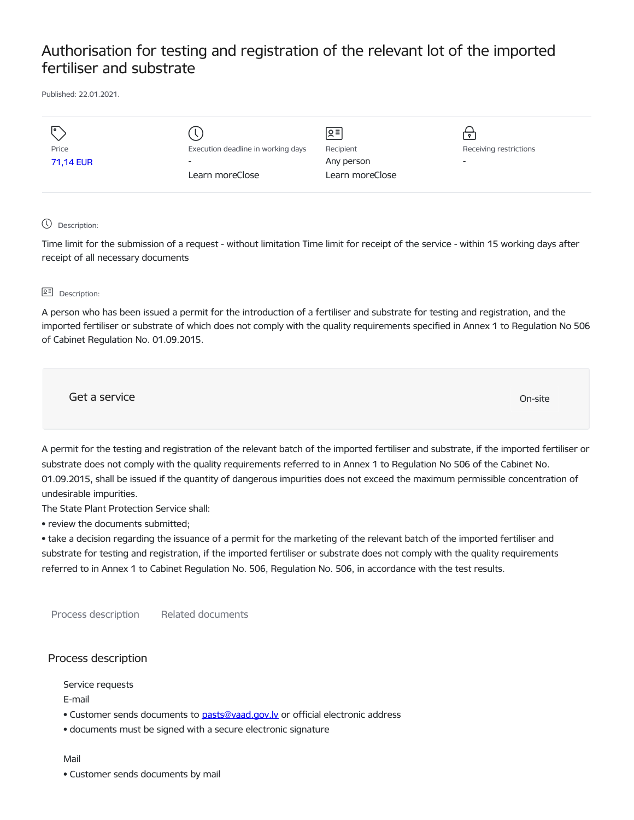# Authorisation for testing and registration of the relevant lot of the imported fertiliser and substrate

Published: 22.01.2021.

|           |                                    | ∣়≡             |                        |
|-----------|------------------------------------|-----------------|------------------------|
| Price     | Execution deadline in working days | Recipient       | Receiving restrictions |
| 71,14 EUR | $\overline{\phantom{0}}$           | Any person      | -                      |
|           | Learn moreClose                    | Learn moreClose |                        |
|           |                                    |                 |                        |

### Description:

Time limit for the submission of a request - without limitation Time limit for receipt of the service - within 15 working days after receipt of all necessary documents

#### **B<sup>=</sup>** Description:

A person who has been issued a permit for the introduction of a fertiliser and substrate for testing and registration, and the imported fertiliser or substrate of which does not comply with the quality requirements specified in Annex 1 to Regulation No 506 of Cabinet Regulation No. 01.09.2015.

Get a service On-site

A permit for the testing and registration of the relevant batch of the imported fertiliser and substrate, if the imported fertiliser or substrate does not comply with the quality requirements referred to in Annex 1 to Regulation No 506 of the Cabinet No. 01.09.2015, shall be issued if the quantity of dangerous impurities does not exceed the maximum permissible concentration of undesirable impurities.

The State Plant Protection Service shall:

• review the documents submitted;

• take a decision regarding the issuance of a permit for the marketing of the relevant batch of the imported fertiliser and substrate for testing and registration, if the imported fertiliser or substrate does not comply with the quality requirements referred to in Annex 1 to Cabinet Regulation No. 506, Regulation No. 506, in accordance with the test results.

Process description Related documents

## Process description

Service requests

E-mail

- Customer sends documents to pasts@vaad.gov.ly or official electronic address
- documents must be signed with a secure electronic signature

#### Mail

• Customer sends documents by mail